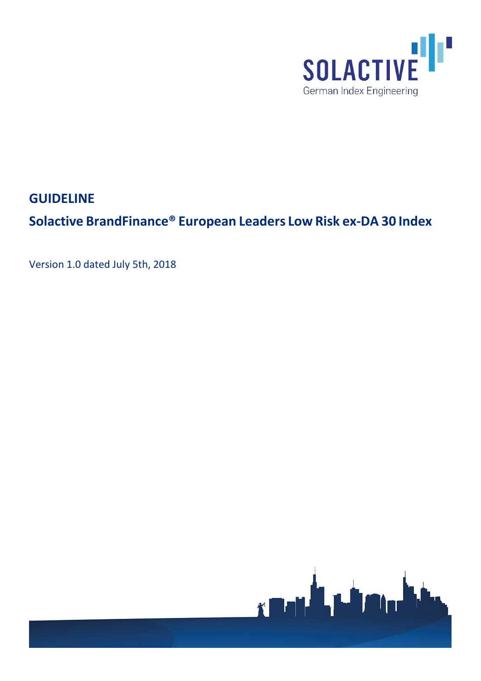

**GUIDELINE**

**Solactive BrandFinance® European Leaders Low Risk ex-DA 30 Index**

Version 1.0 dated July 5th, 2018

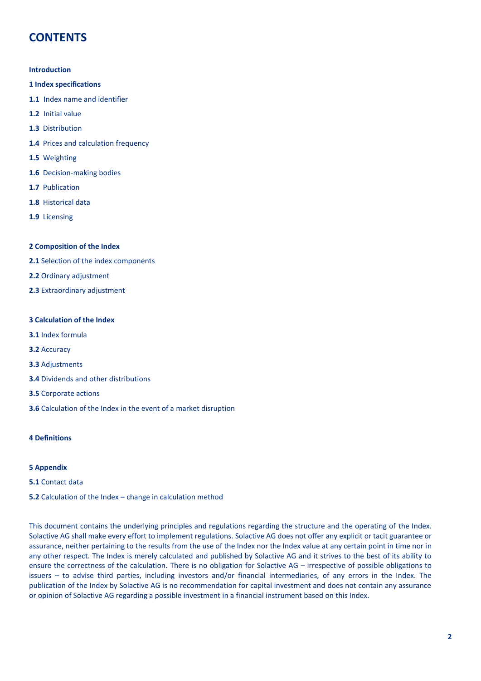# **CONTENTS**

## **Introduction**

- **1 Index specifications**
- **1.1** Index name and identifier
- **1.2** Initial value
- **1.3** Distribution
- **1.4** Prices and calculation frequency
- **1.5** Weighting
- **1.6** Decision-making bodies
- **1.7** Publication
- **1.8** Historical data
- **1.9** Licensing

# **2 Composition of the Index**

- **2.1** Selection of the index components
- **2.2** Ordinary adjustment
- **2.3** Extraordinary adjustment

# **3 Calculation of the Index**

- **3.1** Index formula
- **3.2** Accuracy
- **3.3** Adjustments
- **3.4** Dividends and other distributions
- **3.5** Corporate actions
- **3.6** Calculation of the Index in the event of a market disruption

## **4 Definitions**

## **5 Appendix**

- **5.1** Contact data
- **5.2** Calculation of the Index change in calculation method

This document contains the underlying principles and regulations regarding the structure and the operating of the Index. Solactive AG shall make every effort to implement regulations. Solactive AG does not offer any explicit or tacit guarantee or assurance, neither pertaining to the results from the use of the Index nor the Index value at any certain point in time nor in any other respect. The Index is merely calculated and published by Solactive AG and it strives to the best of its ability to ensure the correctness of the calculation. There is no obligation for Solactive AG – irrespective of possible obligations to issuers – to advise third parties, including investors and/or financial intermediaries, of any errors in the Index. The publication of the Index by Solactive AG is no recommendation for capital investment and does not contain any assurance or opinion of Solactive AG regarding a possible investment in a financial instrument based on this Index.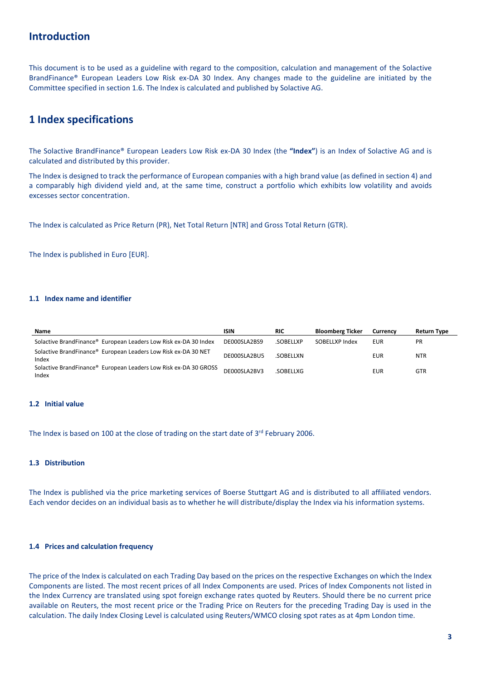# **Introduction**

This document is to be used as a guideline with regard to the composition, calculation and management of the Solactive BrandFinance® European Leaders Low Risk ex-DA 30 Index. Any changes made to the guideline are initiated by the Committee specified in section 1.6. The Index is calculated and published by Solactive AG.

# **1 Index specifications**

The Solactive BrandFinance® European Leaders Low Risk ex-DA 30 Index (the **"Index"**) is an Index of Solactive AG and is calculated and distributed by this provider.

The Index is designed to track the performance of European companies with a high brand value (as defined in section 4) and a comparably high dividend yield and, at the same time, construct a portfolio which exhibits low volatility and avoids excesses sector concentration.

The Index is calculated as Price Return (PR), Net Total Return [NTR] and Gross Total Return (GTR).

The Index is published in Euro [EUR].

# **1.1 Index name and identifier**

| Name                                                                      | <b>ISIN</b>  | <b>RIC</b> | <b>Bloomberg Ticker</b> | Currency   | Return Type |
|---------------------------------------------------------------------------|--------------|------------|-------------------------|------------|-------------|
| Solactive BrandFinance® European Leaders Low Risk ex-DA 30 Index          | DE000SLA2BS9 | .SOBELLXP  | SOBELLXP Index          | EUR        | <b>PR</b>   |
| Solactive BrandFinance® European Leaders Low Risk ex-DA 30 NET<br>Index   | DE000SLA2BU5 | .SOBELLXN  |                         | <b>EUR</b> | <b>NTR</b>  |
| Solactive BrandFinance® European Leaders Low Risk ex-DA 30 GROSS<br>Index | DE000SLA2BV3 | .SOBELLXG  |                         | EUR        | <b>GTR</b>  |

# **1.2 Initial value**

The Index is based on 100 at the close of trading on the start date of 3<sup>rd</sup> February 2006.

## **1.3 Distribution**

The Index is published via the price marketing services of Boerse Stuttgart AG and is distributed to all affiliated vendors. Each vendor decides on an individual basis as to whether he will distribute/display the Index via his information systems.

## **1.4 Prices and calculation frequency**

The price of the Index is calculated on each Trading Day based on the prices on the respective Exchanges on which the Index Components are listed. The most recent prices of all Index Components are used. Prices of Index Components not listed in the Index Currency are translated using spot foreign exchange rates quoted by Reuters. Should there be no current price available on Reuters, the most recent price or the Trading Price on Reuters for the preceding Trading Day is used in the calculation. The daily Index Closing Level is calculated using Reuters/WMCO closing spot rates as at 4pm London time.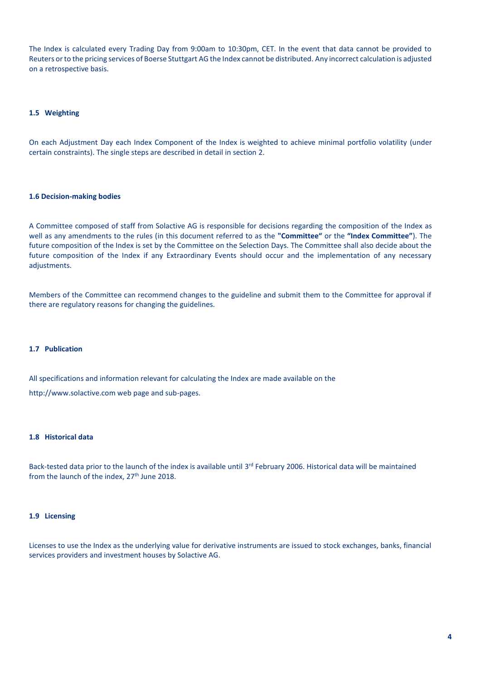The Index is calculated every Trading Day from 9:00am to 10:30pm, CET. In the event that data cannot be provided to Reuters or to the pricing services of Boerse Stuttgart AG the Index cannot be distributed. Any incorrect calculation is adjusted on a retrospective basis.

# **1.5 Weighting**

On each Adjustment Day each Index Component of the Index is weighted to achieve minimal portfolio volatility (under certain constraints). The single steps are described in detail in section 2.

## **1.6 Decision-making bodies**

A Committee composed of staff from Solactive AG is responsible for decisions regarding the composition of the Index as well as any amendments to the rules (in this document referred to as the **"Committee"** or the **"Index Committee"**). The future composition of the Index is set by the Committee on the Selection Days. The Committee shall also decide about the future composition of the Index if any Extraordinary Events should occur and the implementation of any necessary adjustments.

Members of the Committee can recommend changes to the guideline and submit them to the Committee for approval if there are regulatory reasons for changing the guidelines.

## **1.7 Publication**

All specifications and information relevant for calculating the Index are made available on the

http://www.solactive.com web page and sub-pages.

## **1.8 Historical data**

Back-tested data prior to the launch of the index is available until 3<sup>rd</sup> February 2006. Historical data will be maintained from the launch of the index, 27<sup>th</sup> June 2018.

### **1.9 Licensing**

Licenses to use the Index as the underlying value for derivative instruments are issued to stock exchanges, banks, financial services providers and investment houses by Solactive AG.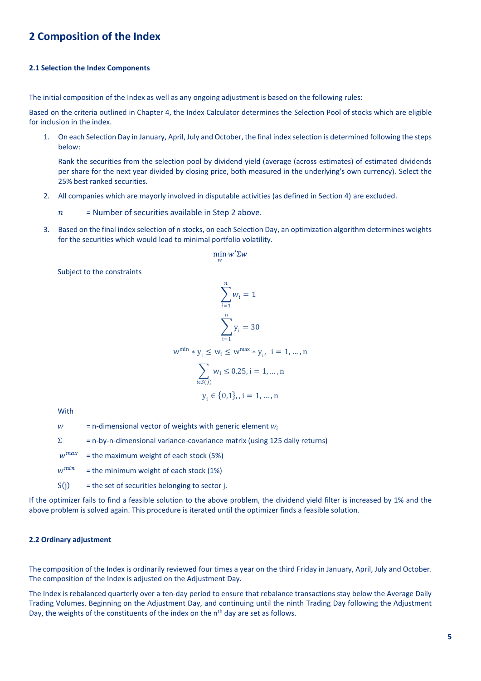# **2 Composition of the Index**

#### **2.1 Selection the Index Components**

The initial composition of the Index as well as any ongoing adjustment is based on the following rules:

Based on the criteria outlined in Chapter 4, the Index Calculator determines the Selection Pool of stocks which are eligible for inclusion in the index.

1. On each Selection Day in January, April, July and October, the final index selection is determined following the steps below:

Rank the securities from the selection pool by dividend yield (average (across estimates) of estimated dividends per share for the next year divided by closing price, both measured in the underlying's own currency). Select the 25% best ranked securities.

- 2. All companies which are mayorly involved in disputable activities (as defined in Section 4) are excluded.
	- $n =$  Number of securities available in Step 2 above.
- 3. Based on the final index selection of n stocks, on each Selection Day, an optimization algorithm determines weights for the securities which would lead to minimal portfolio volatility.

$$
\min_{w} w' \Sigma w
$$

Subject to the constraints

$$
\sum_{i=1}^{n} w_i = 1
$$
  

$$
\sum_{i=1}^{n} y_i = 30
$$
  

$$
w^{\min} * y_i \le w_i \le w^{\max} * y_i, \quad i = 1, ..., n
$$
  

$$
\sum_{i \in S(j)} w_i \le 0.25, i = 1, ..., n
$$
  

$$
y_i \in \{0, 1\}, i = 1, ..., n
$$

With

 $w = n$ -dimensional vector of weights with generic element  $w_i$ 

 $\Sigma$  = n-by-n-dimensional variance-covariance matrix (using 125 daily returns)

 $w^{max}$ = the maximum weight of each stock (5%)

 $w^{min}$ = the minimum weight of each stock (1%)

 $S(i)$  = the set of securities belonging to sector j.

If the optimizer fails to find a feasible solution to the above problem, the dividend yield filter is increased by 1% and the above problem is solved again. This procedure is iterated until the optimizer finds a feasible solution.

## **2.2 Ordinary adjustment**

The composition of the Index is ordinarily reviewed four times a year on the third Friday in January, April, July and October. The composition of the Index is adjusted on the Adjustment Day.

The Index is rebalanced quarterly over a ten-day period to ensure that rebalance transactions stay below the Average Daily Trading Volumes. Beginning on the Adjustment Day, and continuing until the ninth Trading Day following the Adjustment Day, the weights of the constituents of the index on the  $n<sup>th</sup>$  day are set as follows.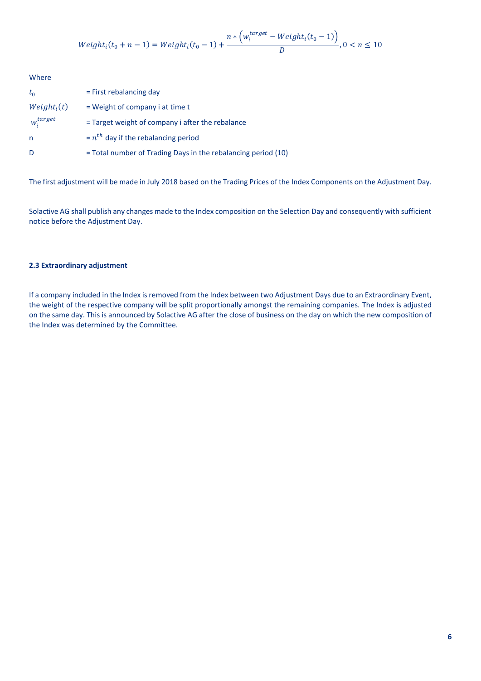$$
Weighti(t0 + n - 1) = Weighti(t0 - 1) + \frac{n * (witarget - Weighti(t0 - 1))}{D}, 0 < n \le 10
$$

Where  $t_0$  = First rebalancing day  $Weight<sub>i</sub>(t)$ = Weight of company i at time t  $w_i^{target}$  = Target weight of company i after the rebalance n  $= n<sup>th</sup>$  day if the rebalancing period D = Total number of Trading Days in the rebalancing period (10)

The first adjustment will be made in July 2018 based on the Trading Prices of the Index Components on the Adjustment Day.

Solactive AG shall publish any changes made to the Index composition on the Selection Day and consequently with sufficient notice before the Adjustment Day.

# **2.3 Extraordinary adjustment**

If a company included in the Index is removed from the Index between two Adjustment Days due to an Extraordinary Event, the weight of the respective company will be split proportionally amongst the remaining companies. The Index is adjusted on the same day. This is announced by Solactive AG after the close of business on the day on which the new composition of the Index was determined by the Committee.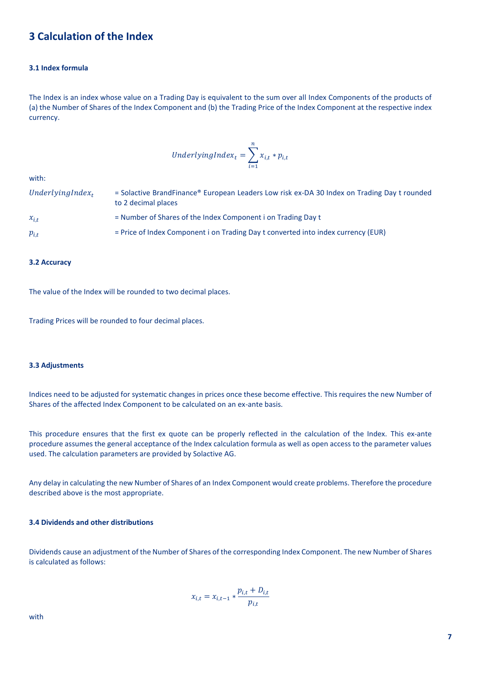# **3 Calculation of the Index**

# **3.1 Index formula**

The Index is an index whose value on a Trading Day is equivalent to the sum over all Index Components of the products of (a) the Number of Shares of the Index Component and (b) the Trading Price of the Index Component at the respective index currency.

$$
Underlying Index_t = \sum_{i=1}^{n} x_{i,t} * p_{i,t}
$$

with:

| UnderlyingIndex <sub>t</sub> | = Solactive BrandFinance® European Leaders Low risk ex-DA 30 Index on Trading Day t rounded<br>to 2 decimal places |
|------------------------------|--------------------------------------------------------------------------------------------------------------------|
| $x_{i,t}$                    | = Number of Shares of the Index Component i on Trading Day t                                                       |
| $p_{i,t}$                    | = Price of Index Component i on Trading Day t converted into index currency (EUR)                                  |

#### **3.2 Accuracy**

The value of the Index will be rounded to two decimal places.

Trading Prices will be rounded to four decimal places.

#### **3.3 Adjustments**

Indices need to be adjusted for systematic changes in prices once these become effective. This requires the new Number of Shares of the affected Index Component to be calculated on an ex-ante basis.

This procedure ensures that the first ex quote can be properly reflected in the calculation of the Index. This ex-ante procedure assumes the general acceptance of the Index calculation formula as well as open access to the parameter values used. The calculation parameters are provided by Solactive AG.

Any delay in calculating the new Number of Shares of an Index Component would create problems. Therefore the procedure described above is the most appropriate.

# **3.4 Dividends and other distributions**

Dividends cause an adjustment of the Number of Shares of the corresponding Index Component. The new Number of Shares is calculated as follows:

$$
x_{i,t} = x_{i,t-1} * \frac{p_{i,t} + D_{i,t}}{p_{i,t}}
$$

with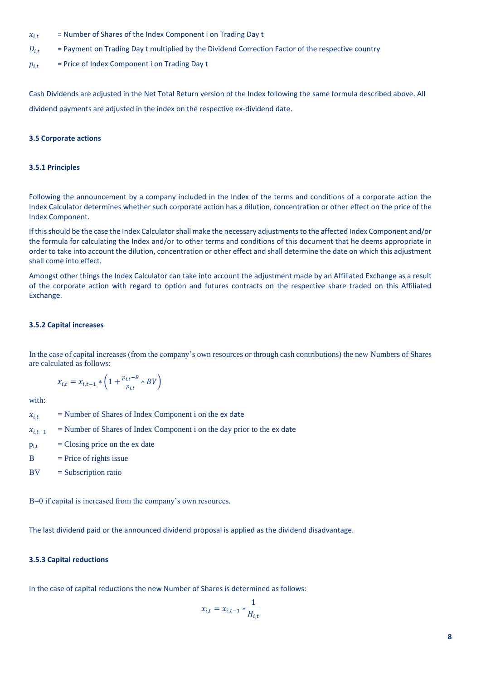- $x_{i,t}$  = Number of Shares of the Index Component i on Trading Day t
- $D_{i,t}$  = Payment on Trading Day t multiplied by the Dividend Correction Factor of the respective country
- $p_{i,t}$  = Price of Index Component i on Trading Day t

Cash Dividends are adjusted in the Net Total Return version of the Index following the same formula described above. All dividend payments are adjusted in the index on the respective ex-dividend date.

## **3.5 Corporate actions**

#### **3.5.1 Principles**

Following the announcement by a company included in the Index of the terms and conditions of a corporate action the Index Calculator determines whether such corporate action has a dilution, concentration or other effect on the price of the Index Component.

If this should be the case the Index Calculator shall make the necessary adjustments to the affected Index Component and/or the formula for calculating the Index and/or to other terms and conditions of this document that he deems appropriate in order to take into account the dilution, concentration or other effect and shall determine the date on which this adjustment shall come into effect.

Amongst other things the Index Calculator can take into account the adjustment made by an Affiliated Exchange as a result of the corporate action with regard to option and futures contracts on the respective share traded on this Affiliated Exchange.

## **3.5.2 Capital increases**

In the case of capital increases (from the company's own resources or through cash contributions) the new Numbers of Shares are calculated as follows:

$$
x_{i,t} = x_{i,t-1} * \left(1 + \frac{p_{i,t} - B}{p_{i,t}} * BV\right)
$$

with:

- $x_{i,t}$  = Number of Shares of Index Component i on the ex date
- $x_{i,t-1}$  = Number of Shares of Index Component i on the day prior to the ex date
- $p_{i,t}$  = Closing price on the ex date
- $B =$  Price of rights issue
- $BV = Subscripto$  ratio

B=0 if capital is increased from the company's own resources.

The last dividend paid or the announced dividend proposal is applied as the dividend disadvantage.

## **3.5.3 Capital reductions**

In the case of capital reductions the new Number of Shares is determined as follows:

$$
x_{i,t} = x_{i,t-1} * \frac{1}{H_{i,t}}
$$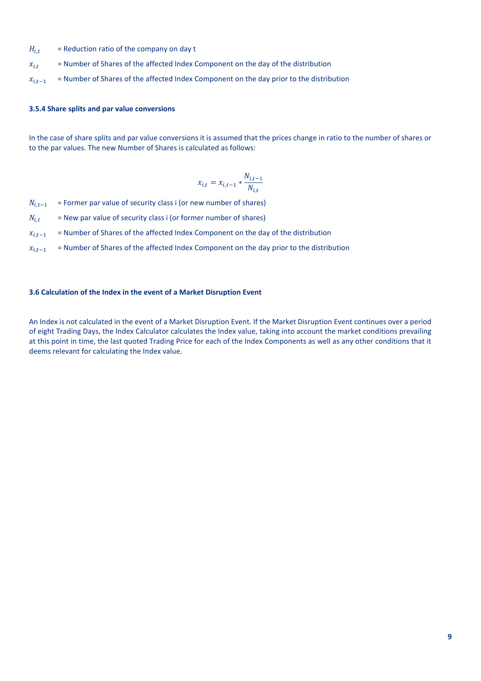- $H_{i,t}$  = Reduction ratio of the company on day t
- $x_{i,t}$  = Number of Shares of the affected Index Component on the day of the distribution
- $x_{i,t-1}$  = Number of Shares of the affected Index Component on the day prior to the distribution

## **3.5.4 Share splits and par value conversions**

In the case of share splits and par value conversions it is assumed that the prices change in ratio to the number of shares or to the par values. The new Number of Shares is calculated as follows:

$$
x_{i,t} = x_{i,t-1} * \frac{N_{i,t-1}}{N_{i,t}}
$$

 $N_{i,t-1}$  = Former par value of security class i (or new number of shares)

- $N_{i,t}$  = New par value of security class i (or former number of shares)
- $x_{i,t-1}$  = Number of Shares of the affected Index Component on the day of the distribution
- $x_{i,t-1}$  = Number of Shares of the affected Index Component on the day prior to the distribution

## **3.6 Calculation of the Index in the event of a Market Disruption Event**

An Index is not calculated in the event of a Market Disruption Event. If the Market Disruption Event continues over a period of eight Trading Days, the Index Calculator calculates the Index value, taking into account the market conditions prevailing at this point in time, the last quoted Trading Price for each of the Index Components as well as any other conditions that it deems relevant for calculating the Index value.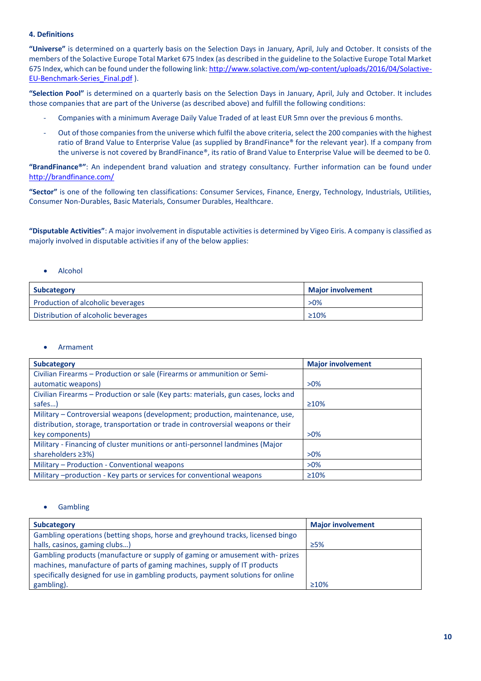# **4. Definitions**

**"Universe"** is determined on a quarterly basis on the Selection Days in January, April, July and October. It consists of the members of the Solactive Europe Total Market 675 Index (as described in the guideline to the Solactive Europe Total Market 675 Index, which can be found under the following link[: http://www.solactive.com/wp-content/uploads/2016/04/Solactive-](http://www.solactive.com/wp-content/uploads/2016/04/Solactive-EU-Benchmark-Series_Final.pdf)[EU-Benchmark-Series\\_Final.pdf](http://www.solactive.com/wp-content/uploads/2016/04/Solactive-EU-Benchmark-Series_Final.pdf) ).

**"Selection Pool"** is determined on a quarterly basis on the Selection Days in January, April, July and October. It includes those companies that are part of the Universe (as described above) and fulfill the following conditions:

- Companies with a minimum Average Daily Value Traded of at least EUR 5mn over the previous 6 months.
- Out of those companies from the universe which fulfil the above criteria, select the 200 companies with the highest ratio of Brand Value to Enterprise Value (as supplied by BrandFinance® for the relevant year). If a company from the universe is not covered by BrandFinance®, its ratio of Brand Value to Enterprise Value will be deemed to be 0.

**"BrandFinance®"**: An independent brand valuation and strategy consultancy. Further information can be found under <http://brandfinance.com/>

**"Sector"** is one of the following ten classifications: Consumer Services, Finance, Energy, Technology, Industrials, Utilities, Consumer Non-Durables, Basic Materials, Consumer Durables, Healthcare.

**"Disputable Activities"**: A major involvement in disputable activities is determined by Vigeo Eiris. A company is classified as majorly involved in disputable activities if any of the below applies:

# • Alcohol

| <b>Subcategory</b>                  | <b>Major involvement</b> |
|-------------------------------------|--------------------------|
| Production of alcoholic beverages   | $>0\%$                   |
| Distribution of alcoholic beverages | $\geq 10\%$              |

# **Armament**

| <b>Subcategory</b>                                                                 | <b>Major involvement</b> |
|------------------------------------------------------------------------------------|--------------------------|
| Civilian Firearms - Production or sale (Firearms or ammunition or Semi-            |                          |
| automatic weapons)                                                                 | $>0\%$                   |
| Civilian Firearms - Production or sale (Key parts: materials, gun cases, locks and |                          |
| safes)                                                                             | $\geq 10\%$              |
| Military - Controversial weapons (development; production, maintenance, use,       |                          |
| distribution, storage, transportation or trade in controversial weapons or their   |                          |
| key components)                                                                    | $>0\%$                   |
| Military - Financing of cluster munitions or anti-personnel landmines (Major       |                          |
| shareholders ≥3%)                                                                  | $>0\%$                   |
| Military - Production - Conventional weapons                                       | $>0\%$                   |
| Military -production - Key parts or services for conventional weapons              | $\geq 10\%$              |

# **Gambling**

| Subcategory                                                                      | <b>Major involvement</b> |
|----------------------------------------------------------------------------------|--------------------------|
| Gambling operations (betting shops, horse and greyhound tracks, licensed bingo   |                          |
| halls, casinos, gaming clubs)                                                    | >5%                      |
| Gambling products (manufacture or supply of gaming or amusement with-prizes      |                          |
| machines, manufacture of parts of gaming machines, supply of IT products         |                          |
| specifically designed for use in gambling products, payment solutions for online |                          |
| gambling).                                                                       | $\geq 10\%$              |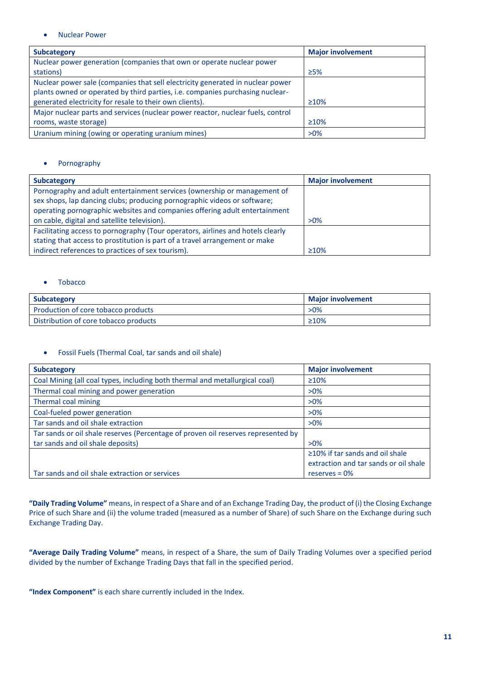• Nuclear Power

| <b>Subcategory</b>                                                              | <b>Major involvement</b> |
|---------------------------------------------------------------------------------|--------------------------|
| Nuclear power generation (companies that own or operate nuclear power           |                          |
| stations)                                                                       | $\geq$ 5%                |
| Nuclear power sale (companies that sell electricity generated in nuclear power  |                          |
| plants owned or operated by third parties, i.e. companies purchasing nuclear-   |                          |
| generated electricity for resale to their own clients).                         | $\geq 10\%$              |
| Major nuclear parts and services (nuclear power reactor, nuclear fuels, control |                          |
| rooms, waste storage)                                                           | $\geq 10\%$              |
| Uranium mining (owing or operating uranium mines)                               | $>0\%$                   |

# • Pornography

| <b>Subcategory</b>                                                              | <b>Major involvement</b> |
|---------------------------------------------------------------------------------|--------------------------|
| Pornography and adult entertainment services (ownership or management of        |                          |
| sex shops, lap dancing clubs; producing pornographic videos or software;        |                          |
| operating pornographic websites and companies offering adult entertainment      |                          |
| on cable, digital and satellite television).                                    | $>0\%$                   |
| Facilitating access to pornography (Tour operators, airlines and hotels clearly |                          |
| stating that access to prostitution is part of a travel arrangement or make     |                          |
| indirect references to practices of sex tourism).                               | $\geq 10\%$              |

# • Tobacco

| <b>Subcategory</b>                    | <b>Maior involvement</b> |
|---------------------------------------|--------------------------|
| Production of core tobacco products   | $>0\%$                   |
| Distribution of core tobacco products | $\geq 10\%$              |

# • Fossil Fuels (Thermal Coal, tar sands and oil shale)

| <b>Subcategory</b>                                                                | <b>Major involvement</b>              |
|-----------------------------------------------------------------------------------|---------------------------------------|
| Coal Mining (all coal types, including both thermal and metallurgical coal)       | $\geq 10\%$                           |
| Thermal coal mining and power generation                                          | $>0\%$                                |
| Thermal coal mining                                                               | $>0\%$                                |
| Coal-fueled power generation                                                      | $>0\%$                                |
| Tar sands and oil shale extraction                                                | $>0\%$                                |
| Tar sands or oil shale reserves (Percentage of proven oil reserves represented by |                                       |
| tar sands and oil shale deposits)                                                 | $>0\%$                                |
|                                                                                   | $\geq$ 10% if tar sands and oil shale |
|                                                                                   | extraction and tar sands or oil shale |
| Tar sands and oil shale extraction or services                                    | reserves = $0\%$                      |

**"Daily Trading Volume"** means, in respect of a Share and of an Exchange Trading Day, the product of (i) the Closing Exchange Price of such Share and (ii) the volume traded (measured as a number of Share) of such Share on the Exchange during such Exchange Trading Day.

**"Average Daily Trading Volume"** means, in respect of a Share, the sum of Daily Trading Volumes over a specified period divided by the number of Exchange Trading Days that fall in the specified period.

**"Index Component"** is each share currently included in the Index.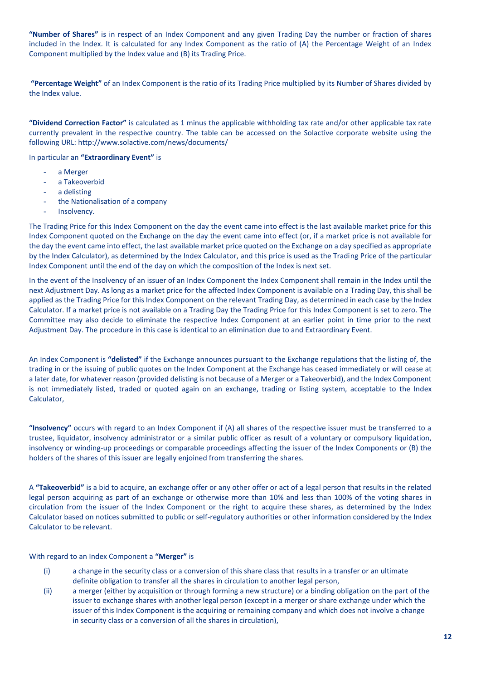**"Number of Shares"** is in respect of an Index Component and any given Trading Day the number or fraction of shares included in the Index. It is calculated for any Index Component as the ratio of (A) the Percentage Weight of an Index Component multiplied by the Index value and (B) its Trading Price.

**"Percentage Weight"** of an Index Component is the ratio of its Trading Price multiplied by its Number of Shares divided by the Index value.

**"Dividend Correction Factor"** is calculated as 1 minus the applicable withholding tax rate and/or other applicable tax rate currently prevalent in the respective country. The table can be accessed on the Solactive corporate website using the following URL: http://www.solactive.com/news/documents/

In particular an **"Extraordinary Event"** is

- a Merger
- a Takeoverbid
- a delisting
- the Nationalisation of a company
- Insolvency.

The Trading Price for this Index Component on the day the event came into effect is the last available market price for this Index Component quoted on the Exchange on the day the event came into effect (or, if a market price is not available for the day the event came into effect, the last available market price quoted on the Exchange on a day specified as appropriate by the Index Calculator), as determined by the Index Calculator, and this price is used as the Trading Price of the particular Index Component until the end of the day on which the composition of the Index is next set.

In the event of the Insolvency of an issuer of an Index Component the Index Component shall remain in the Index until the next Adjustment Day. As long as a market price for the affected Index Component is available on a Trading Day, this shall be applied as the Trading Price for this Index Component on the relevant Trading Day, as determined in each case by the Index Calculator. If a market price is not available on a Trading Day the Trading Price for this Index Component is set to zero. The Committee may also decide to eliminate the respective Index Component at an earlier point in time prior to the next Adjustment Day. The procedure in this case is identical to an elimination due to and Extraordinary Event.

An Index Component is **"delisted"** if the Exchange announces pursuant to the Exchange regulations that the listing of, the trading in or the issuing of public quotes on the Index Component at the Exchange has ceased immediately or will cease at a later date, for whatever reason (provided delisting is not because of a Merger or a Takeoverbid), and the Index Component is not immediately listed, traded or quoted again on an exchange, trading or listing system, acceptable to the Index Calculator,

**"Insolvency"** occurs with regard to an Index Component if (A) all shares of the respective issuer must be transferred to a trustee, liquidator, insolvency administrator or a similar public officer as result of a voluntary or compulsory liquidation, insolvency or winding-up proceedings or comparable proceedings affecting the issuer of the Index Components or (B) the holders of the shares of this issuer are legally enjoined from transferring the shares.

A **"Takeoverbid"** is a bid to acquire, an exchange offer or any other offer or act of a legal person that results in the related legal person acquiring as part of an exchange or otherwise more than 10% and less than 100% of the voting shares in circulation from the issuer of the Index Component or the right to acquire these shares, as determined by the Index Calculator based on notices submitted to public or self-regulatory authorities or other information considered by the Index Calculator to be relevant.

With regard to an Index Component a **"Merger"** is

- (i) a change in the security class or a conversion of this share class that results in a transfer or an ultimate definite obligation to transfer all the shares in circulation to another legal person,
- (ii) a merger (either by acquisition or through forming a new structure) or a binding obligation on the part of the issuer to exchange shares with another legal person (except in a merger or share exchange under which the issuer of this Index Component is the acquiring or remaining company and which does not involve a change in security class or a conversion of all the shares in circulation),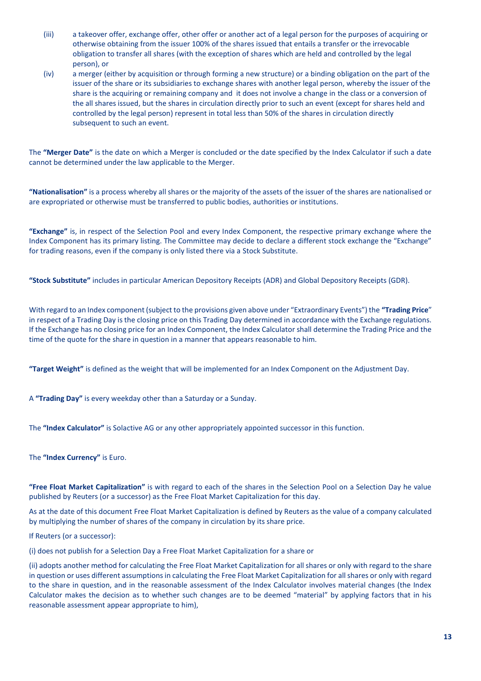- (iii) a takeover offer, exchange offer, other offer or another act of a legal person for the purposes of acquiring or otherwise obtaining from the issuer 100% of the shares issued that entails a transfer or the irrevocable obligation to transfer all shares (with the exception of shares which are held and controlled by the legal person), or
- (iv) a merger (either by acquisition or through forming a new structure) or a binding obligation on the part of the issuer of the share or its subsidiaries to exchange shares with another legal person, whereby the issuer of the share is the acquiring or remaining company and it does not involve a change in the class or a conversion of the all shares issued, but the shares in circulation directly prior to such an event (except for shares held and controlled by the legal person) represent in total less than 50% of the shares in circulation directly subsequent to such an event.

The **"Merger Date"** is the date on which a Merger is concluded or the date specified by the Index Calculator if such a date cannot be determined under the law applicable to the Merger.

**"Nationalisation"** is a process whereby all shares or the majority of the assets of the issuer of the shares are nationalised or are expropriated or otherwise must be transferred to public bodies, authorities or institutions.

**"Exchange"** is, in respect of the Selection Pool and every Index Component, the respective primary exchange where the Index Component has its primary listing. The Committee may decide to declare a different stock exchange the "Exchange" for trading reasons, even if the company is only listed there via a Stock Substitute.

**"Stock Substitute"** includes in particular American Depository Receipts (ADR) and Global Depository Receipts (GDR).

With regard to an Index component (subject to the provisions given above under "Extraordinary Events") the **"Trading Price**" in respect of a Trading Day is the closing price on this Trading Day determined in accordance with the Exchange regulations. If the Exchange has no closing price for an Index Component, the Index Calculator shall determine the Trading Price and the time of the quote for the share in question in a manner that appears reasonable to him.

**"Target Weight"** is defined as the weight that will be implemented for an Index Component on the Adjustment Day.

A **"Trading Day"** is every weekday other than a Saturday or a Sunday.

The **"Index Calculator"** is Solactive AG or any other appropriately appointed successor in this function.

The **"Index Currency"** is Euro.

**"Free Float Market Capitalization"** is with regard to each of the shares in the Selection Pool on a Selection Day he value published by Reuters (or a successor) as the Free Float Market Capitalization for this day.

As at the date of this document Free Float Market Capitalization is defined by Reuters as the value of a company calculated by multiplying the number of shares of the company in circulation by its share price.

If Reuters (or a successor):

(i) does not publish for a Selection Day a Free Float Market Capitalization for a share or

(ii) adopts another method for calculating the Free Float Market Capitalization for all shares or only with regard to the share in question or uses different assumptions in calculating the Free Float Market Capitalization for all shares or only with regard to the share in question, and in the reasonable assessment of the Index Calculator involves material changes (the Index Calculator makes the decision as to whether such changes are to be deemed "material" by applying factors that in his reasonable assessment appear appropriate to him),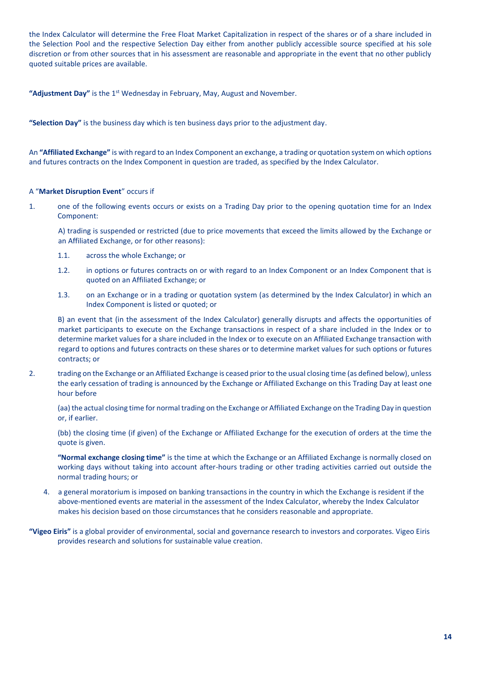the Index Calculator will determine the Free Float Market Capitalization in respect of the shares or of a share included in the Selection Pool and the respective Selection Day either from another publicly accessible source specified at his sole discretion or from other sources that in his assessment are reasonable and appropriate in the event that no other publicly quoted suitable prices are available.

"Adjustment Day" is the 1<sup>st</sup> Wednesday in February, May, August and November.

**"Selection Day"** is the business day which is ten business days prior to the adjustment day.

An **"Affiliated Exchange"** is with regard to an Index Component an exchange, a trading or quotation system on which options and futures contracts on the Index Component in question are traded, as specified by the Index Calculator.

# A "**Market Disruption Event**" occurs if

1. one of the following events occurs or exists on a Trading Day prior to the opening quotation time for an Index Component:

A) trading is suspended or restricted (due to price movements that exceed the limits allowed by the Exchange or an Affiliated Exchange, or for other reasons):

- 1.1. across the whole Exchange; or
- 1.2. in options or futures contracts on or with regard to an Index Component or an Index Component that is quoted on an Affiliated Exchange; or
- 1.3. on an Exchange or in a trading or quotation system (as determined by the Index Calculator) in which an Index Component is listed or quoted; or

B) an event that (in the assessment of the Index Calculator) generally disrupts and affects the opportunities of market participants to execute on the Exchange transactions in respect of a share included in the Index or to determine market values for a share included in the Index or to execute on an Affiliated Exchange transaction with regard to options and futures contracts on these shares or to determine market values for such options or futures contracts; or

2. trading on the Exchange or an Affiliated Exchange is ceased prior to the usual closing time (as defined below), unless the early cessation of trading is announced by the Exchange or Affiliated Exchange on this Trading Day at least one hour before

(aa) the actual closing time for normal trading on the Exchange or Affiliated Exchange on the Trading Day in question or, if earlier.

(bb) the closing time (if given) of the Exchange or Affiliated Exchange for the execution of orders at the time the quote is given.

**"Normal exchange closing time"** is the time at which the Exchange or an Affiliated Exchange is normally closed on working days without taking into account after-hours trading or other trading activities carried out outside the normal trading hours; or

- 4. a general moratorium is imposed on banking transactions in the country in which the Exchange is resident if the above-mentioned events are material in the assessment of the Index Calculator, whereby the Index Calculator makes his decision based on those circumstances that he considers reasonable and appropriate.
- **"Vigeo Eiris"** is a global provider of environmental, social and governance research to investors and corporates. Vigeo Eiris provides research and solutions for sustainable value creation.